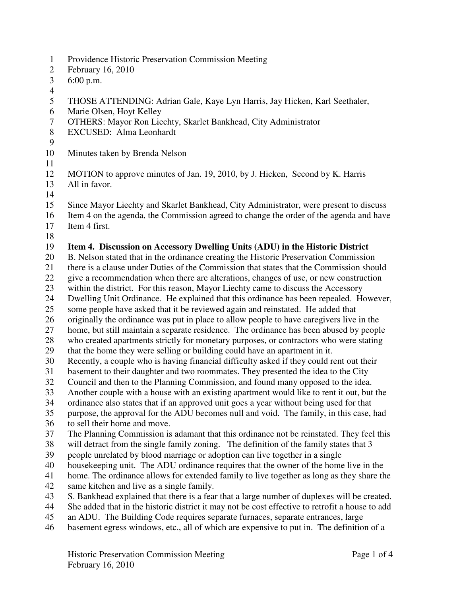- 1 Providence Historic Preservation Commission Meeting
- 2 February 16, 2010
- 3 6:00 p.m.
- 4
- 5 THOSE ATTENDING: Adrian Gale, Kaye Lyn Harris, Jay Hicken, Karl Seethaler,
- 6 Marie Olsen, Hoyt Kelley
- 7 OTHERS: Mayor Ron Liechty, Skarlet Bankhead, City Administrator
- 8 EXCUSED: Alma Leonhardt
- 9
- 10 Minutes taken by Brenda Nelson
- 11
- 12 MOTION to approve minutes of Jan. 19, 2010, by J. Hicken, Second by K. Harris
- 13 All in favor. 14
- 15 Since Mayor Liechty and Skarlet Bankhead, City Administrator, were present to discuss 16 Item 4 on the agenda, the Commission agreed to change the order of the agenda and have
- 17 Item 4 first.
- 18

### 19 **Item 4. Discussion on Accessory Dwelling Units (ADU) in the Historic District**

- 20 B. Nelson stated that in the ordinance creating the Historic Preservation Commission
- 21 there is a clause under Duties of the Commission that states that the Commission should
- 22 give a recommendation when there are alterations, changes of use, or new construction
- 23 within the district. For this reason, Mayor Liechty came to discuss the Accessory
- 24 Dwelling Unit Ordinance. He explained that this ordinance has been repealed. However,
- 25 some people have asked that it be reviewed again and reinstated. He added that
- 26 originally the ordinance was put in place to allow people to have caregivers live in the
- 27 home, but still maintain a separate residence. The ordinance has been abused by people
- 28 who created apartments strictly for monetary purposes, or contractors who were stating
- 29 that the home they were selling or building could have an apartment in it.
- 30 Recently, a couple who is having financial difficulty asked if they could rent out their
- 31 basement to their daughter and two roommates. They presented the idea to the City
- 32 Council and then to the Planning Commission, and found many opposed to the idea.
- 33 Another couple with a house with an existing apartment would like to rent it out, but the
- 34 ordinance also states that if an approved unit goes a year without being used for that
- 35 purpose, the approval for the ADU becomes null and void. The family, in this case, had 36 to sell their home and move.
- 37 The Planning Commission is adamant that this ordinance not be reinstated. They feel this
- 38 will detract from the single family zoning. The definition of the family states that 3
- 39 people unrelated by blood marriage or adoption can live together in a single
- 40 housekeeping unit. The ADU ordinance requires that the owner of the home live in the
- 41 home. The ordinance allows for extended family to live together as long as they share the
- 42 same kitchen and live as a single family.
- 43 S. Bankhead explained that there is a fear that a large number of duplexes will be created.
- 44 She added that in the historic district it may not be cost effective to retrofit a house to add
- 45 an ADU. The Building Code requires separate furnaces, separate entrances, large
- 46 basement egress windows, etc., all of which are expensive to put in. The definition of a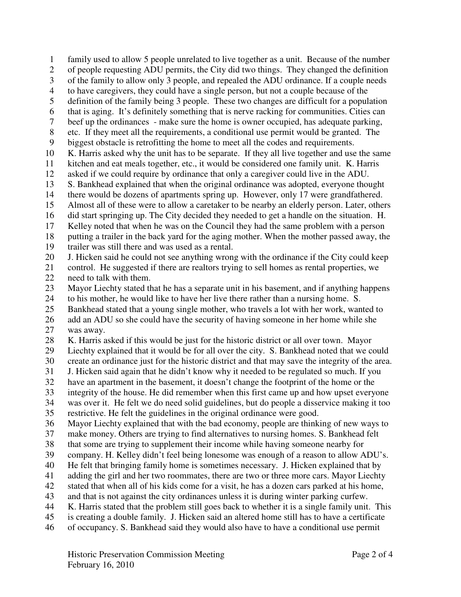1 family used to allow 5 people unrelated to live together as a unit. Because of the number 2 of people requesting ADU permits, the City did two things. They changed the definition 3 of the family to allow only 3 people, and repealed the ADU ordinance. If a couple needs 4 to have caregivers, they could have a single person, but not a couple because of the 5 definition of the family being 3 people. These two changes are difficult for a population 6 that is aging. It's definitely something that is nerve racking for communities. Cities can 7 beef up the ordinances - make sure the home is owner occupied, has adequate parking, 8 etc. If they meet all the requirements, a conditional use permit would be granted. The 9 biggest obstacle is retrofitting the home to meet all the codes and requirements. 10 K. Harris asked why the unit has to be separate. If they all live together and use the same 11 kitchen and eat meals together, etc., it would be considered one family unit. K. Harris 12 asked if we could require by ordinance that only a caregiver could live in the ADU. 13 S. Bankhead explained that when the original ordinance was adopted, everyone thought 14 there would be dozens of apartments spring up. However, only 17 were grandfathered. 15 Almost all of these were to allow a caretaker to be nearby an elderly person. Later, others 16 did start springing up. The City decided they needed to get a handle on the situation. H. 17 Kelley noted that when he was on the Council they had the same problem with a person 18 putting a trailer in the back yard for the aging mother. When the mother passed away, the 19 trailer was still there and was used as a rental. 20 J. Hicken said he could not see anything wrong with the ordinance if the City could keep 21 control. He suggested if there are realtors trying to sell homes as rental properties, we 22 need to talk with them. 23 Mayor Liechty stated that he has a separate unit in his basement, and if anything happens 24 to his mother, he would like to have her live there rather than a nursing home. S. 25 Bankhead stated that a young single mother, who travels a lot with her work, wanted to 26 add an ADU so she could have the security of having someone in her home while she 27 was away. 28 K. Harris asked if this would be just for the historic district or all over town. Mayor 29 Liechty explained that it would be for all over the city. S. Bankhead noted that we could 30 create an ordinance just for the historic district and that may save the integrity of the area. 31 J. Hicken said again that he didn't know why it needed to be regulated so much. If you 32 have an apartment in the basement, it doesn't change the footprint of the home or the 33 integrity of the house. He did remember when this first came up and how upset everyone 34 was over it. He felt we do need solid guidelines, but do people a disservice making it too 35 restrictive. He felt the guidelines in the original ordinance were good. 36 Mayor Liechty explained that with the bad economy, people are thinking of new ways to 37 make money. Others are trying to find alternatives to nursing homes. S. Bankhead felt 38 that some are trying to supplement their income while having someone nearby for 39 company. H. Kelley didn't feel being lonesome was enough of a reason to allow ADU's. 40 He felt that bringing family home is sometimes necessary. J. Hicken explained that by 41 adding the girl and her two roommates, there are two or three more cars. Mayor Liechty 42 stated that when all of his kids come for a visit, he has a dozen cars parked at his home, 43 and that is not against the city ordinances unless it is during winter parking curfew. 44 K. Harris stated that the problem still goes back to whether it is a single family unit. This 45 is creating a double family. J. Hicken said an altered home still has to have a certificate 46 of occupancy. S. Bankhead said they would also have to have a conditional use permit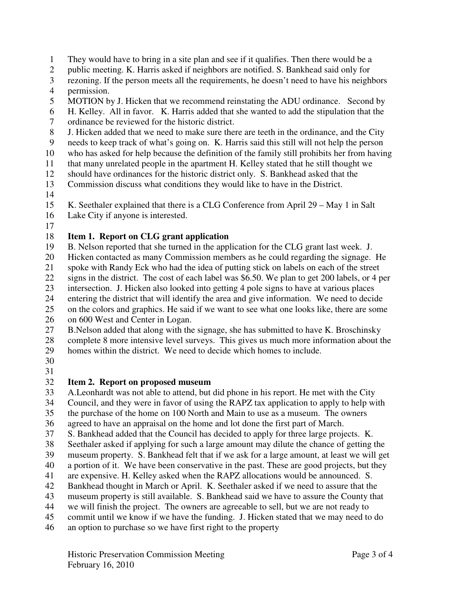- 1 They would have to bring in a site plan and see if it qualifies. Then there would be a
- 2 public meeting. K. Harris asked if neighbors are notified. S. Bankhead said only for
- 3 rezoning. If the person meets all the requirements, he doesn't need to have his neighbors
- 4 permission.
- 5 MOTION by J. Hicken that we recommend reinstating the ADU ordinance. Second by
- 6 H. Kelley. All in favor. K. Harris added that she wanted to add the stipulation that the
- 7 ordinance be reviewed for the historic district.
- 8 J. Hicken added that we need to make sure there are teeth in the ordinance, and the City
- 9 needs to keep track of what's going on. K. Harris said this still will not help the person
- 10 who has asked for help because the definition of the family still prohibits her from having
- 11 that many unrelated people in the apartment H. Kelley stated that he still thought we
- 12 should have ordinances for the historic district only. S. Bankhead asked that the
- 13 Commission discuss what conditions they would like to have in the District.
- 14

15 K. Seethaler explained that there is a CLG Conference from April 29 – May 1 in Salt

- 16 Lake City if anyone is interested.
- 17

# 18 **Item 1. Report on CLG grant application**

- 19 B. Nelson reported that she turned in the application for the CLG grant last week. J.
- 20 Hicken contacted as many Commission members as he could regarding the signage. He
- 21 spoke with Randy Eck who had the idea of putting stick on labels on each of the street
- 22 signs in the district. The cost of each label was \$6.50. We plan to get 200 labels, or 4 per
- 23 intersection. J. Hicken also looked into getting 4 pole signs to have at various places
- 24 entering the district that will identify the area and give information. We need to decide
- 25 on the colors and graphics. He said if we want to see what one looks like, there are some 26 on 600 West and Center in Logan.
- 27 B.Nelson added that along with the signage, she has submitted to have K. Broschinsky
- 28 complete 8 more intensive level surveys. This gives us much more information about the 29 homes within the district. We need to decide which homes to include.
- 30
- 31

#### 32 **Item 2. Report on proposed museum**

- 33 A.Leonhardt was not able to attend, but did phone in his report. He met with the City 34 Council, and they were in favor of using the RAPZ tax application to apply to help with 35 the purchase of the home on 100 North and Main to use as a museum. The owners
- 36 agreed to have an appraisal on the home and lot done the first part of March.
- 37 S. Bankhead added that the Council has decided to apply for three large projects. K.
- 38 Seethaler asked if applying for such a large amount may dilute the chance of getting the
- 39 museum property. S. Bankhead felt that if we ask for a large amount, at least we will get
- 40 a portion of it. We have been conservative in the past. These are good projects, but they
- 41 are expensive. H. Kelley asked when the RAPZ allocations would be announced. S.
- 42 Bankhead thought in March or April. K. Seethaler asked if we need to assure that the
- 43 museum property is still available. S. Bankhead said we have to assure the County that
- 44 we will finish the project. The owners are agreeable to sell, but we are not ready to
- 45 commit until we know if we have the funding. J. Hicken stated that we may need to do
- 46 an option to purchase so we have first right to the property